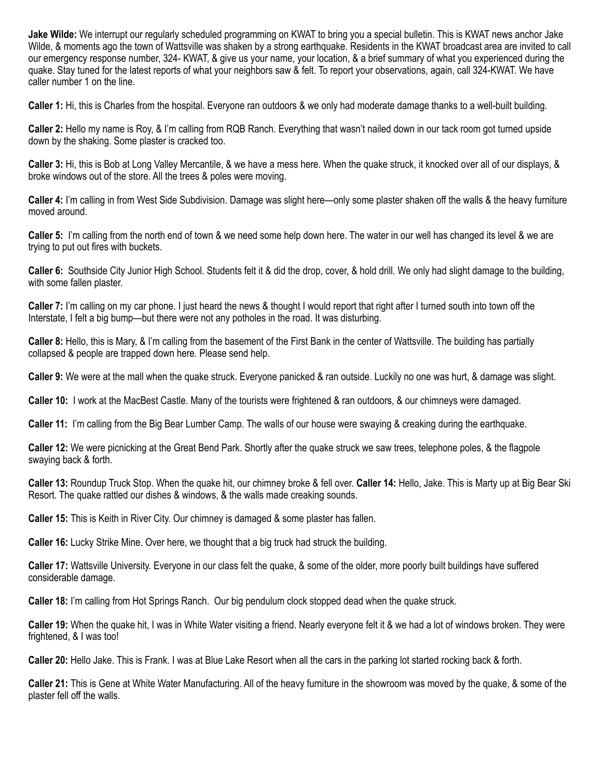**Jake Wilde:** We interrupt our regularly scheduled programming on KWAT to bring you a special bulletin. This is KWAT news anchor Jake Wilde, & moments ago the town of Wattsville was shaken by a strong earthquake. Residents in the KWAT broadcast area are invited to call our emergency response number, 324- KWAT, & give us your name, your location, & a brief summary of what you experienced during the quake. Stay tuned for the latest reports of what your neighbors saw & felt. To report your observations, again, call 324-KWAT. We have caller number 1 on the line.

**Caller 1:** Hi, this is Charles from the hospital. Everyone ran outdoors & we only had moderate damage thanks to a well-built building.

**Caller 2:** Hello my name is Roy, & I'm calling from RQB Ranch. Everything that wasn't nailed down in our tack room got turned upside down by the shaking. Some plaster is cracked too.

**Caller 3:** Hi, this is Bob at Long Valley Mercantile, & we have a mess here. When the quake struck, it knocked over all of our displays, & broke windows out of the store. All the trees & poles were moving.

**Caller 4:** I'm calling in from West Side Subdivision. Damage was slight here—only some plaster shaken off the walls & the heavy furniture moved around.

**Caller 5:** I'm calling from the north end of town & we need some help down here. The water in our well has changed its level & we are trying to put out fires with buckets.

**Caller 6:** Southside City Junior High School. Students felt it & did the drop, cover, & hold drill. We only had slight damage to the building, with some fallen plaster.

**Caller 7:** I'm calling on my car phone. I just heard the news & thought I would report that right after I turned south into town off the Interstate, I felt a big bump—but there were not any potholes in the road. It was disturbing.

**Caller 8:** Hello, this is Mary, & I'm calling from the basement of the First Bank in the center of Wattsville. The building has partially collapsed & people are trapped down here. Please send help.

**Caller 9:** We were at the mall when the quake struck. Everyone panicked & ran outside. Luckily no one was hurt, & damage was slight.

**Caller 10:** I work at the MacBest Castle. Many of the tourists were frightened & ran outdoors, & our chimneys were damaged.

**Caller 11:** I'm calling from the Big Bear Lumber Camp. The walls of our house were swaying & creaking during the earthquake.

**Caller 12:** We were picnicking at the Great Bend Park. Shortly after the quake struck we saw trees, telephone poles, & the flagpole swaying back & forth.

**Caller 13:** Roundup Truck Stop. When the quake hit, our chimney broke & fell over. **Caller 14:** Hello, Jake. This is Marty up at Big Bear Ski Resort. The quake rattled our dishes & windows, & the walls made creaking sounds.

**Caller 15:** This is Keith in River City. Our chimney is damaged & some plaster has fallen.

**Caller 16:** Lucky Strike Mine. Over here, we thought that a big truck had struck the building.

**Caller 17:** Wattsville University. Everyone in our class felt the quake, & some of the older, more poorly built buildings have suffered considerable damage.

**Caller 18:** I'm calling from Hot Springs Ranch. Our big pendulum clock stopped dead when the quake struck.

**Caller 19:** When the quake hit, I was in White Water visiting a friend. Nearly everyone felt it & we had a lot of windows broken. They were frightened, & I was too!

**Caller 20:** Hello Jake. This is Frank. I was at Blue Lake Resort when all the cars in the parking lot started rocking back & forth.

**Caller 21:** This is Gene at White Water Manufacturing. All of the heavy furniture in the showroom was moved by the quake, & some of the plaster fell off the walls.